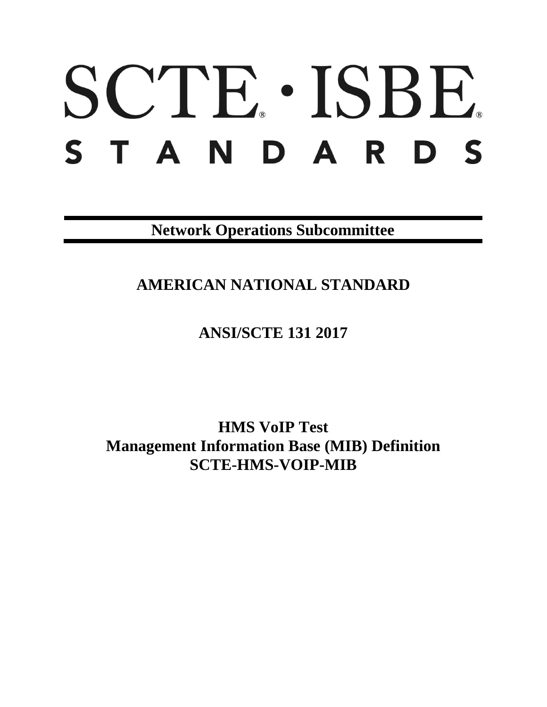# SCTE · ISBE. STANDARDS

**Network Operations Subcommittee**

# **AMERICAN NATIONAL STANDARD**

**ANSI/SCTE 131 2017**

**HMS VoIP Test Management Information Base (MIB) Definition SCTE-HMS-VOIP-MIB**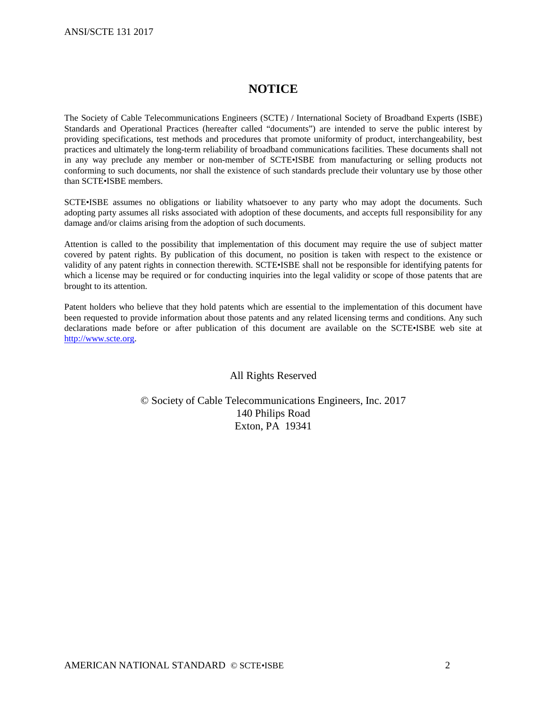# **NOTICE**

The Society of Cable Telecommunications Engineers (SCTE) / International Society of Broadband Experts (ISBE) Standards and Operational Practices (hereafter called "documents") are intended to serve the public interest by providing specifications, test methods and procedures that promote uniformity of product, interchangeability, best practices and ultimately the long-term reliability of broadband communications facilities. These documents shall not in any way preclude any member or non-member of SCTE•ISBE from manufacturing or selling products not conforming to such documents, nor shall the existence of such standards preclude their voluntary use by those other than SCTE•ISBE members.

SCTE•ISBE assumes no obligations or liability whatsoever to any party who may adopt the documents. Such adopting party assumes all risks associated with adoption of these documents, and accepts full responsibility for any damage and/or claims arising from the adoption of such documents.

Attention is called to the possibility that implementation of this document may require the use of subject matter covered by patent rights. By publication of this document, no position is taken with respect to the existence or validity of any patent rights in connection therewith. SCTE•ISBE shall not be responsible for identifying patents for which a license may be required or for conducting inquiries into the legal validity or scope of those patents that are brought to its attention.

Patent holders who believe that they hold patents which are essential to the implementation of this document have been requested to provide information about those patents and any related licensing terms and conditions. Any such declarations made before or after publication of this document are available on the SCTE•ISBE web site at [http://www.scte.org.](http://www.scte.org/)

#### All Rights Reserved

# © Society of Cable Telecommunications Engineers, Inc. 2017 140 Philips Road Exton, PA 19341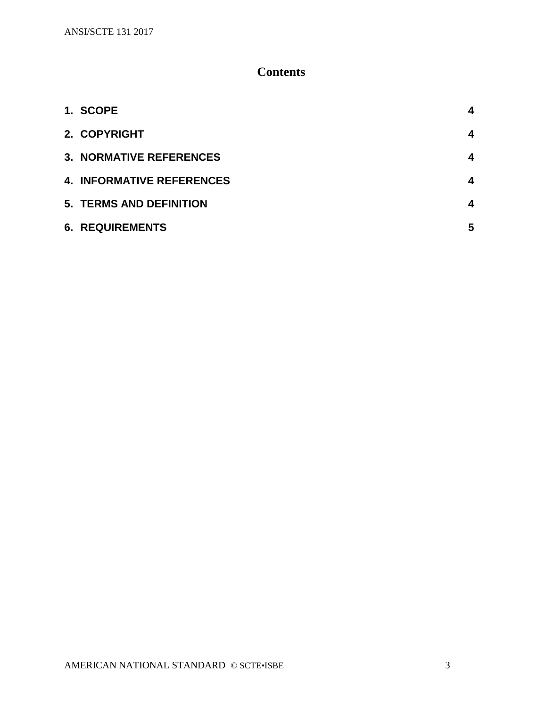# **Contents**

| 1. SCOPE                         |   |
|----------------------------------|---|
| 2. COPYRIGHT                     | 4 |
| <b>3. NORMATIVE REFERENCES</b>   | 4 |
| <b>4. INFORMATIVE REFERENCES</b> | 4 |
| <b>5. TERMS AND DEFINITION</b>   | 4 |
| <b>6. REQUIREMENTS</b>           | 5 |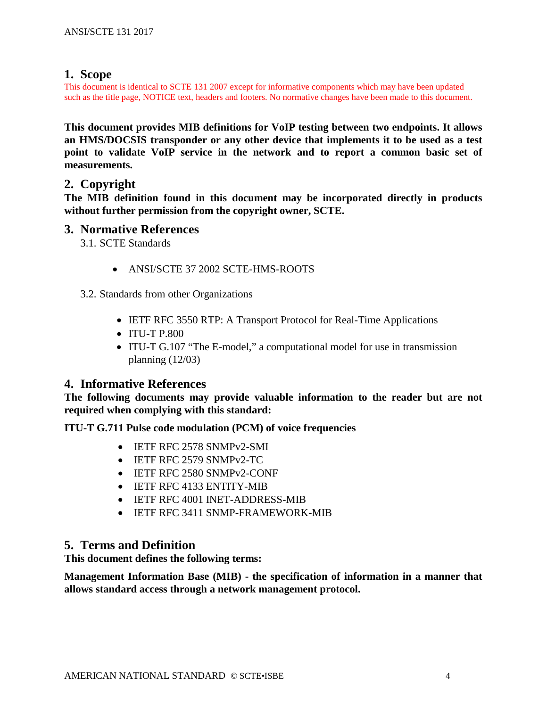# <span id="page-3-0"></span>**1. Scope**

This document is identical to SCTE 131 2007 except for informative components which may have been updated such as the title page, NOTICE text, headers and footers. No normative changes have been made to this document.

**This document provides MIB definitions for VoIP testing between two endpoints. It allows an HMS/DOCSIS transponder or any other device that implements it to be used as a test point to validate VoIP service in the network and to report a common basic set of measurements.** 

# <span id="page-3-1"></span>**2. Copyright**

**The MIB definition found in this document may be incorporated directly in products without further permission from the copyright owner, SCTE.**

# <span id="page-3-2"></span>**3. Normative References**

3.1. SCTE Standards

• ANSI/SCTE 37 2002 SCTE-HMS-ROOTS

3.2. Standards from other Organizations

- IETF RFC 3550 RTP: A Transport Protocol for Real-Time Applications
- ITU-T P.800
- ITU-T G.107 "The E-model," a computational model for use in transmission planning  $(12/03)$

# <span id="page-3-3"></span>**4. Informative References**

**The following documents may provide valuable information to the reader but are not required when complying with this standard:**

### **ITU-T G.711 Pulse code modulation (PCM) of voice frequencies**

- IETF RFC 2578 SNMPv2-SMI
- **IETF RFC 2579 SNMPv2-TC**
- IETF RFC 2580 SNMPv2-CONF
- IETF RFC 4133 ENTITY-MIB
- IETF RFC 4001 INET-ADDRESS-MIB
- IETF RFC 3411 SNMP-FRAMEWORK-MIB

# <span id="page-3-4"></span>**5. Terms and Definition**

**This document defines the following terms:**

**Management Information Base (MIB) - the specification of information in a manner that allows standard access through a network management protocol.**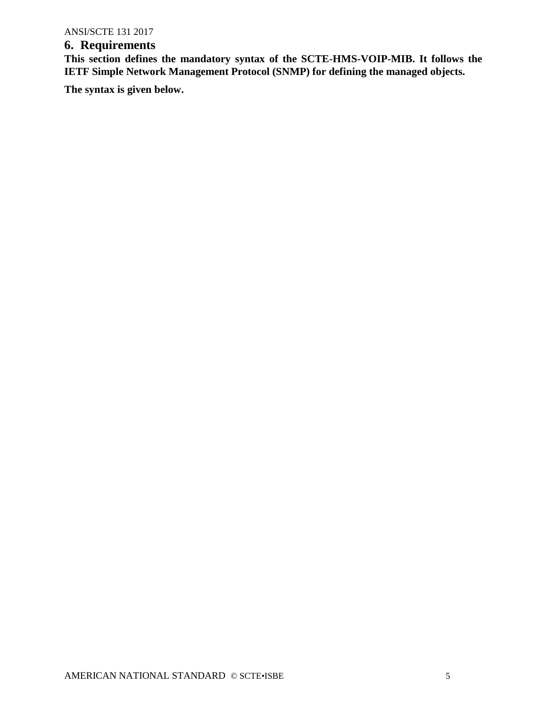# <span id="page-4-0"></span>**6. Requirements**

**This section defines the mandatory syntax of the SCTE-HMS-VOIP-MIB. It follows the IETF Simple Network Management Protocol (SNMP) for defining the managed objects.**

**The syntax is given below.**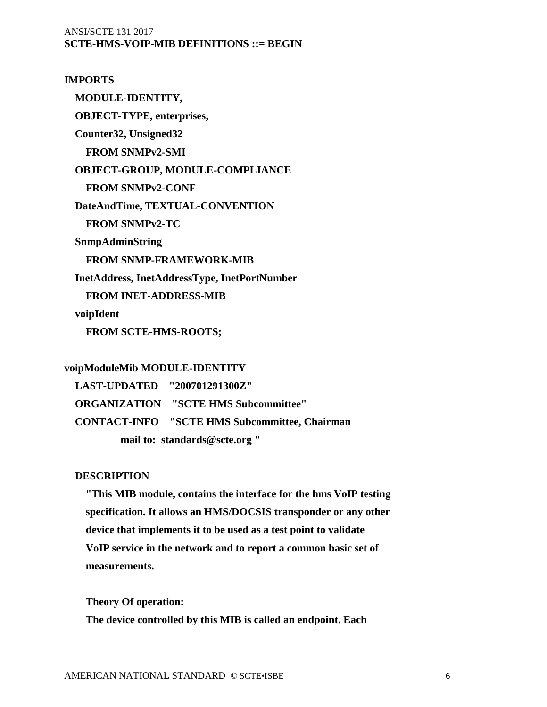# ANSI/SCTE 131 2017 **SCTE-HMS-VOIP-MIB DEFINITIONS ::= BEGIN**

**IMPORTS MODULE-IDENTITY, OBJECT-TYPE, enterprises, Counter32, Unsigned32 FROM SNMPv2-SMI OBJECT-GROUP, MODULE-COMPLIANCE FROM SNMPv2-CONF DateAndTime, TEXTUAL-CONVENTION FROM SNMPv2-TC SnmpAdminString FROM SNMP-FRAMEWORK-MIB InetAddress, InetAddressType, InetPortNumber FROM INET-ADDRESS-MIB voipIdent FROM SCTE-HMS-ROOTS;** 

#### **voipModuleMib MODULE-IDENTITY**

 **LAST-UPDATED "200701291300Z" ORGANIZATION "SCTE HMS Subcommittee" CONTACT-INFO "SCTE HMS Subcommittee, Chairman mail to: standards@scte.org "**

#### **DESCRIPTION**

 **"This MIB module, contains the interface for the hms VoIP testing specification. It allows an HMS/DOCSIS transponder or any other device that implements it to be used as a test point to validate VoIP service in the network and to report a common basic set of measurements.**

 **Theory Of operation: The device controlled by this MIB is called an endpoint. Each**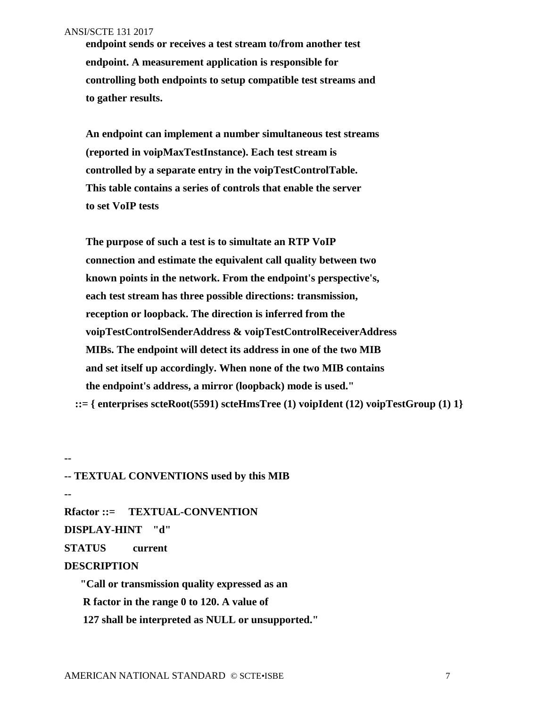**--**

 **endpoint sends or receives a test stream to/from another test endpoint. A measurement application is responsible for controlling both endpoints to setup compatible test streams and to gather results.**

 **An endpoint can implement a number simultaneous test streams (reported in voipMaxTestInstance). Each test stream is controlled by a separate entry in the voipTestControlTable. This table contains a series of controls that enable the server to set VoIP tests** 

 **The purpose of such a test is to simultate an RTP VoIP connection and estimate the equivalent call quality between two known points in the network. From the endpoint's perspective's, each test stream has three possible directions: transmission, reception or loopback. The direction is inferred from the voipTestControlSenderAddress & voipTestControlReceiverAddress MIBs. The endpoint will detect its address in one of the two MIB and set itself up accordingly. When none of the two MIB contains the endpoint's address, a mirror (loopback) mode is used." ::= { enterprises scteRoot(5591) scteHmsTree (1) voipIdent (12) voipTestGroup (1) 1}**

**-- TEXTUAL CONVENTIONS used by this MIB -- Rfactor ::= TEXTUAL-CONVENTION DISPLAY-HINT "d" STATUS current DESCRIPTION "Call or transmission quality expressed as an R factor in the range 0 to 120. A value of**

 **127 shall be interpreted as NULL or unsupported."**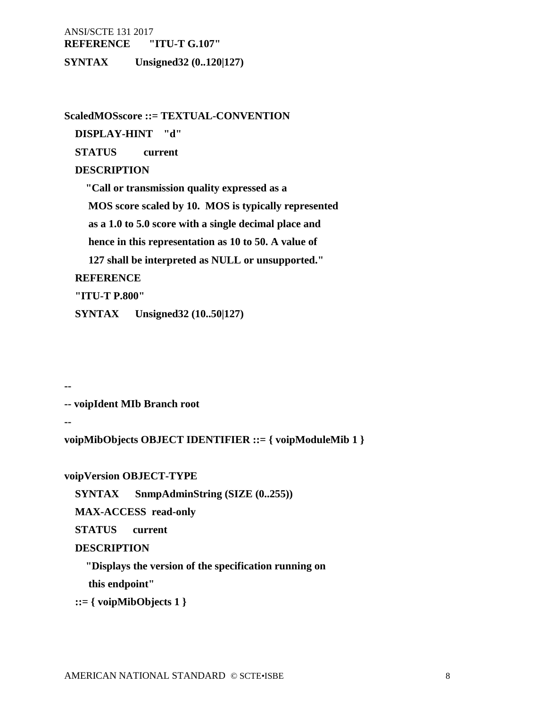**REFERENCE "ITU-T G.107"**

**SYNTAX Unsigned32 (0..120|127)**

**ScaledMOSscore ::= TEXTUAL-CONVENTION**

 **DISPLAY-HINT "d"**

 **STATUS current**

# **DESCRIPTION**

 **"Call or transmission quality expressed as a** 

 **MOS score scaled by 10. MOS is typically represented**

 **as a 1.0 to 5.0 score with a single decimal place and**

 **hence in this representation as 10 to 50. A value of**

 **127 shall be interpreted as NULL or unsupported."**

# **REFERENCE**

 **"ITU-T P.800"**

 **SYNTAX Unsigned32 (10..50|127)**

**--** 

**-- voipIdent MIb Branch root**

**--**

**voipMibObjects OBJECT IDENTIFIER ::= { voipModuleMib 1 }** 

**voipVersion OBJECT-TYPE**

 **SYNTAX SnmpAdminString (SIZE (0..255))**

 **MAX-ACCESS read-only**

 **STATUS current** 

### **DESCRIPTION**

 **"Displays the version of the specification running on**

 **this endpoint"**

 **::= { voipMibObjects 1 }**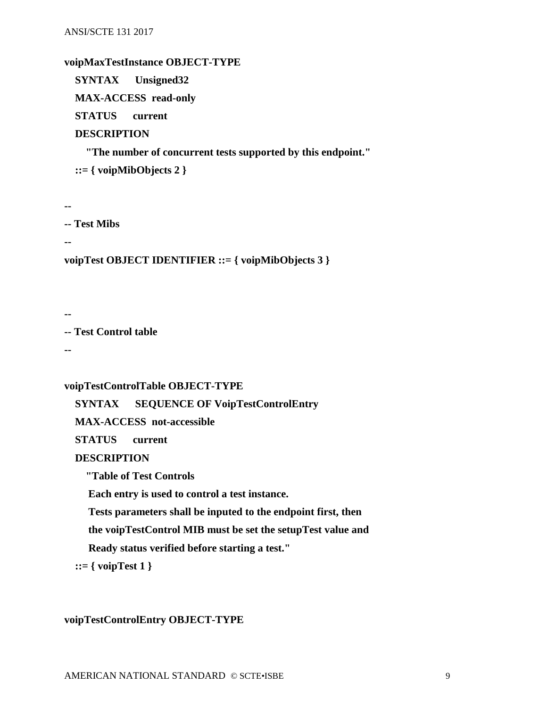#### **voipMaxTestInstance OBJECT-TYPE**

 **SYNTAX Unsigned32**

 **MAX-ACCESS read-only**

 **STATUS current** 

## **DESCRIPTION**

 **"The number of concurrent tests supported by this endpoint." ::= { voipMibObjects 2 }**

**--**

```
-- Test Mibs
```
**--**

**voipTest OBJECT IDENTIFIER ::= { voipMibObjects 3 }**

**--**

**-- Test Control table**

**--**

#### **voipTestControlTable OBJECT-TYPE**

 **SYNTAX SEQUENCE OF VoipTestControlEntry**

 **MAX-ACCESS not-accessible**

 **STATUS current** 

#### **DESCRIPTION**

 **"Table of Test Controls**

 **Each entry is used to control a test instance.** 

 **Tests parameters shall be inputed to the endpoint first, then**

 **the voipTestControl MIB must be set the setupTest value and**

 **Ready status verified before starting a test."**

 **::= { voipTest 1 }**

#### **voipTestControlEntry OBJECT-TYPE**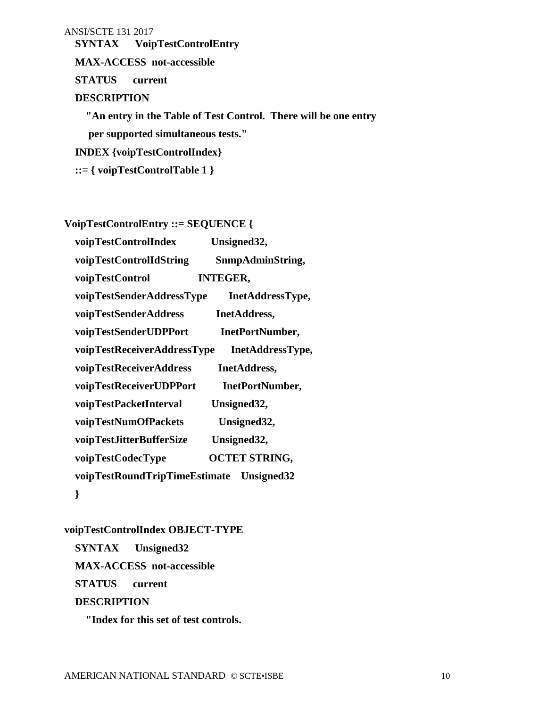**SYNTAX VoipTestControlEntry**

 **MAX-ACCESS not-accessible**

 **STATUS current** 

#### **DESCRIPTION**

 **"An entry in the Table of Test Control. There will be one entry per supported simultaneous tests."**

 **INDEX {voipTestControlIndex}**

 **::= { voipTestControlTable 1 }**

**VoipTestControlEntry ::= SEQUENCE {**

| voipTestControlIndex                     | Unsigned32,          |  |
|------------------------------------------|----------------------|--|
| voipTestControlIdString                  | SnmpAdminString,     |  |
| voipTestControl                          | <b>INTEGER,</b>      |  |
| voipTestSenderAddressType                | InetAddressType,     |  |
| voipTestSenderAddress                    | InetAddress,         |  |
| voipTestSenderUDPPort                    | InetPortNumber,      |  |
| voipTestReceiverAddressType              | InetAddressType,     |  |
| voipTestReceiverAddress                  | InetAddress,         |  |
| voipTestReceiverUDPPort                  | InetPortNumber,      |  |
| voipTestPacketInterval                   | Unsigned32,          |  |
| voipTestNumOfPackets                     | Unsigned32,          |  |
| voipTestJitterBufferSize                 | Unsigned32,          |  |
| voipTestCodecType                        | <b>OCTET STRING,</b> |  |
| voipTestRoundTripTimeEstimate Unsigned32 |                      |  |
| }                                        |                      |  |

**voipTestControlIndex OBJECT-TYPE**

 **SYNTAX Unsigned32 MAX-ACCESS not-accessible STATUS current DESCRIPTION**

 **"Index for this set of test controls.**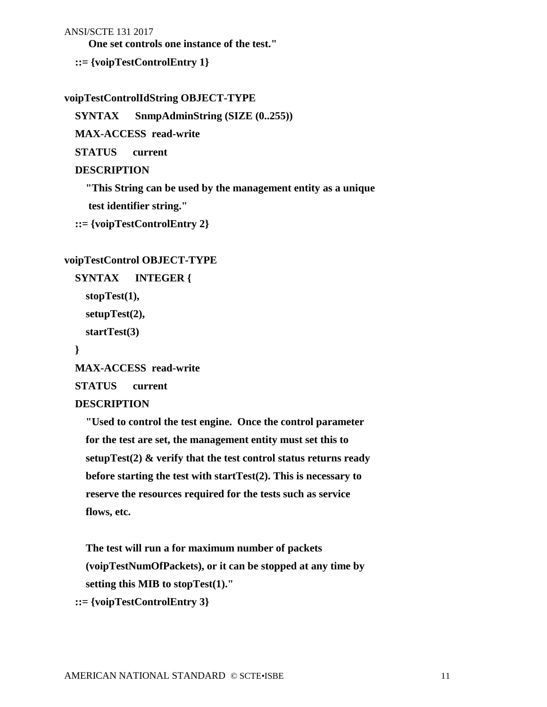**One set controls one instance of the test."**

 **::= {voipTestControlEntry 1}**

#### **voipTestControlIdString OBJECT-TYPE**

 **SYNTAX SnmpAdminString (SIZE (0..255))**

 **MAX-ACCESS read-write**

 **STATUS current**

#### **DESCRIPTION**

 **"This String can be used by the management entity as a unique**

 **test identifier string."**

```
 ::= {voipTestControlEntry 2}
```
#### **voipTestControl OBJECT-TYPE**

```
 SYNTAX INTEGER {
   stopTest(1),
   setupTest(2),
   startTest(3)
```
 **}**

 **MAX-ACCESS read-write**

 **STATUS current**

#### **DESCRIPTION**

 **"Used to control the test engine. Once the control parameter for the test are set, the management entity must set this to setupTest(2) & verify that the test control status returns ready before starting the test with startTest(2). This is necessary to reserve the resources required for the tests such as service flows, etc.**

 **The test will run a for maximum number of packets (voipTestNumOfPackets), or it can be stopped at any time by setting this MIB to stopTest(1)." ::= {voipTestControlEntry 3}**

AMERICAN NATIONAL STANDARD © SCTE•ISBE 11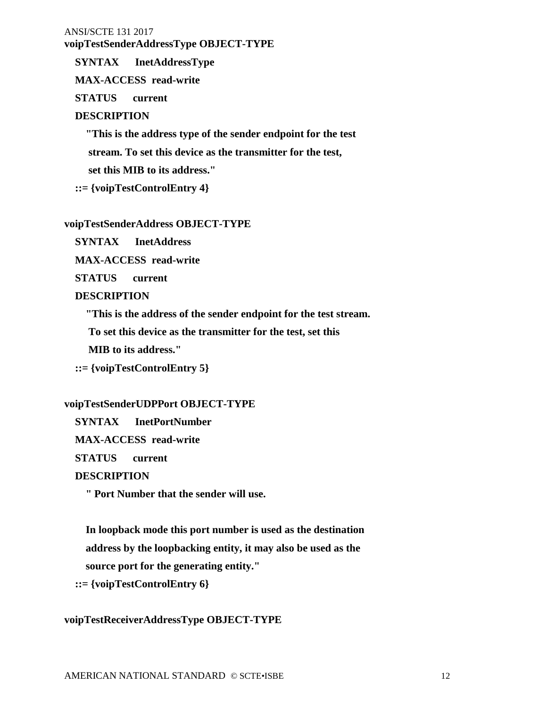### **voipTestSenderAddressType OBJECT-TYPE**

 **SYNTAX InetAddressType**

 **MAX-ACCESS read-write**

 **STATUS current**

### **DESCRIPTION**

 **"This is the address type of the sender endpoint for the test stream. To set this device as the transmitter for the test, set this MIB to its address."**

 **::= {voipTestControlEntry 4}**

#### **voipTestSenderAddress OBJECT-TYPE**

 **SYNTAX InetAddress**

 **MAX-ACCESS read-write**

 **STATUS current**

#### **DESCRIPTION**

 **"This is the address of the sender endpoint for the test stream.**

 **To set this device as the transmitter for the test, set this**

 **MIB to its address."**

 **::= {voipTestControlEntry 5}**

### **voipTestSenderUDPPort OBJECT-TYPE**

 **SYNTAX InetPortNumber**

 **MAX-ACCESS read-write**

 **STATUS current**

#### **DESCRIPTION**

 **" Port Number that the sender will use.**

 **In loopback mode this port number is used as the destination address by the loopbacking entity, it may also be used as the**

 **source port for the generating entity."**

 **::= {voipTestControlEntry 6}**

#### **voipTestReceiverAddressType OBJECT-TYPE**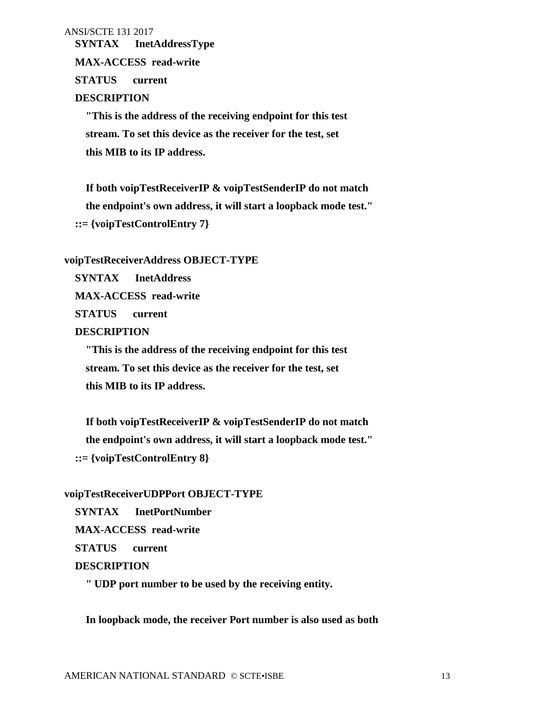**SYNTAX InetAddressType**

 **MAX-ACCESS read-write**

 **STATUS current**

#### **DESCRIPTION**

 **"This is the address of the receiving endpoint for this test stream. To set this device as the receiver for the test, set this MIB to its IP address.**

 **If both voipTestReceiverIP & voipTestSenderIP do not match the endpoint's own address, it will start a loopback mode test." ::= {voipTestControlEntry 7}**

#### **voipTestReceiverAddress OBJECT-TYPE**

 **SYNTAX InetAddress**

 **MAX-ACCESS read-write**

 **STATUS current**

#### **DESCRIPTION**

 **"This is the address of the receiving endpoint for this test stream. To set this device as the receiver for the test, set this MIB to its IP address.**

 **If both voipTestReceiverIP & voipTestSenderIP do not match the endpoint's own address, it will start a loopback mode test." ::= {voipTestControlEntry 8}**

#### **voipTestReceiverUDPPort OBJECT-TYPE**

 **SYNTAX InetPortNumber**

 **MAX-ACCESS read-write**

 **STATUS current**

#### **DESCRIPTION**

 **" UDP port number to be used by the receiving entity.**

 **In loopback mode, the receiver Port number is also used as both**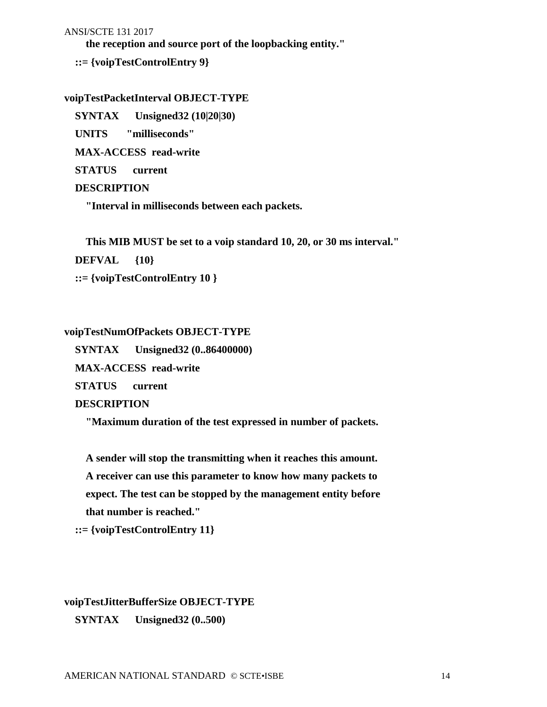**the reception and source port of the loopbacking entity."**

 **::= {voipTestControlEntry 9}**

#### **voipTestPacketInterval OBJECT-TYPE**

 **SYNTAX Unsigned32 (10|20|30)**

 **UNITS "milliseconds"**

 **MAX-ACCESS read-write**

 **STATUS current**

#### **DESCRIPTION**

 **"Interval in milliseconds between each packets.**

 **This MIB MUST be set to a voip standard 10, 20, or 30 ms interval."**

 **DEFVAL {10}**

 **::= {voipTestControlEntry 10 }**

#### **voipTestNumOfPackets OBJECT-TYPE**

 **SYNTAX Unsigned32 (0..86400000)**

 **MAX-ACCESS read-write**

 **STATUS current**

### **DESCRIPTION**

 **"Maximum duration of the test expressed in number of packets.**

 **A sender will stop the transmitting when it reaches this amount. A receiver can use this parameter to know how many packets to expect. The test can be stopped by the management entity before that number is reached."**

 **::= {voipTestControlEntry 11}**

# **voipTestJitterBufferSize OBJECT-TYPE**

 **SYNTAX Unsigned32 (0..500)**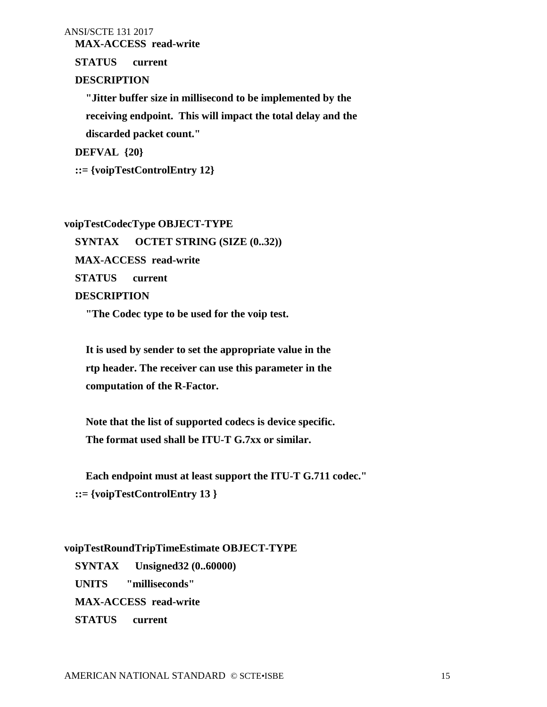**MAX-ACCESS read-write**

 **STATUS current**

#### **DESCRIPTION**

 **"Jitter buffer size in millisecond to be implemented by the receiving endpoint. This will impact the total delay and the discarded packet count."**

 **DEFVAL {20}**

 **::= {voipTestControlEntry 12}**

# **voipTestCodecType OBJECT-TYPE SYNTAX OCTET STRING (SIZE (0..32)) MAX-ACCESS read-write STATUS current DESCRIPTION**

 **"The Codec type to be used for the voip test.** 

 **It is used by sender to set the appropriate value in the rtp header. The receiver can use this parameter in the computation of the R-Factor.**

 **Note that the list of supported codecs is device specific. The format used shall be ITU-T G.7xx or similar.** 

 **Each endpoint must at least support the ITU-T G.711 codec." ::= {voipTestControlEntry 13 }**

#### **voipTestRoundTripTimeEstimate OBJECT-TYPE**

 **SYNTAX Unsigned32 (0..60000) UNITS "milliseconds" MAX-ACCESS read-write STATUS current**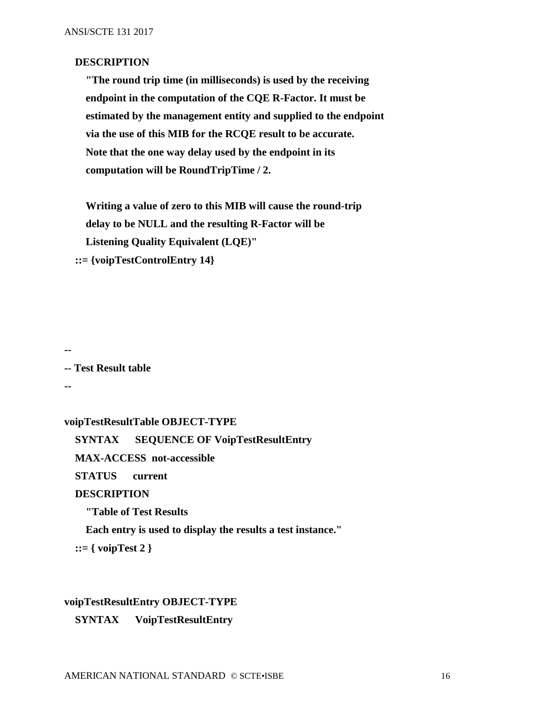#### **DESCRIPTION**

 **"The round trip time (in milliseconds) is used by the receiving endpoint in the computation of the CQE R-Factor. It must be estimated by the management entity and supplied to the endpoint via the use of this MIB for the RCQE result to be accurate. Note that the one way delay used by the endpoint in its computation will be RoundTripTime / 2.**

 **Writing a value of zero to this MIB will cause the round-trip delay to be NULL and the resulting R-Factor will be Listening Quality Equivalent (LQE)" ::= {voipTestControlEntry 14}**

**--**

**-- Test Result table**

**--**

**voipTestResultTable OBJECT-TYPE**

 **SYNTAX SEQUENCE OF VoipTestResultEntry**

 **MAX-ACCESS not-accessible**

 **STATUS current** 

#### **DESCRIPTION**

 **"Table of Test Results**

 **Each entry is used to display the results a test instance."**

 **::= { voipTest 2 }**

#### **voipTestResultEntry OBJECT-TYPE**

 **SYNTAX VoipTestResultEntry**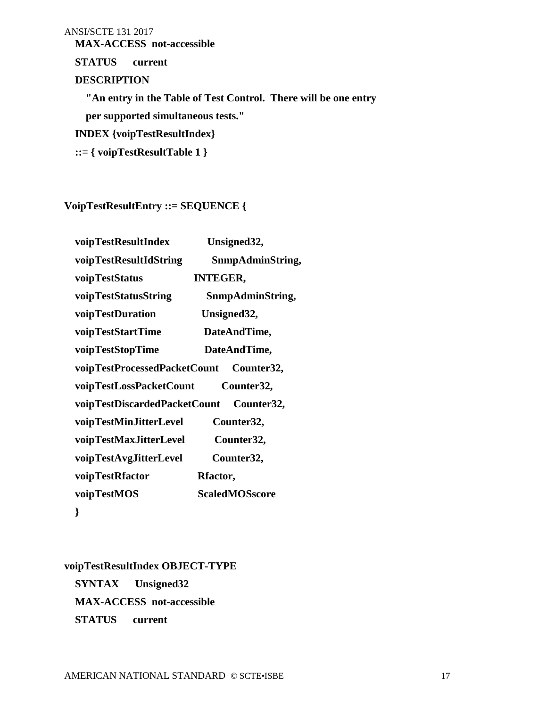**MAX-ACCESS not-accessible**

 **STATUS current** 

# **DESCRIPTION**

 **"An entry in the Table of Test Control. There will be one entry** 

 **per supported simultaneous tests."**

 **INDEX {voipTestResultIndex}**

 **::= { voipTestResultTable 1 }**

**VoipTestResultEntry ::= SEQUENCE {**

| voipTestResultIndex          | Unsigned32,           |
|------------------------------|-----------------------|
| voipTestResultIdString       | SnmpAdminString,      |
| voipTestStatus               | <b>INTEGER,</b>       |
| voipTestStatusString         | SnmpAdminString,      |
| voipTestDuration             | Unsigned32,           |
| voipTestStartTime            | DateAndTime,          |
| voipTestStopTime             | DateAndTime,          |
| voipTestProcessedPacketCount | Counter32,            |
| voipTestLossPacketCount      | Counter32,            |
| voipTestDiscardedPacketCount | Counter32,            |
| voipTestMinJitterLevel       | Counter32,            |
| voipTestMaxJitterLevel       | Counter32,            |
| voipTestAvgJitterLevel       | Counter32,            |
| voipTestRfactor              | Rfactor,              |
| voipTestMOS                  | <b>ScaledMOSscore</b> |
| ∤                            |                       |

**voipTestResultIndex OBJECT-TYPE SYNTAX Unsigned32 MAX-ACCESS not-accessible STATUS current**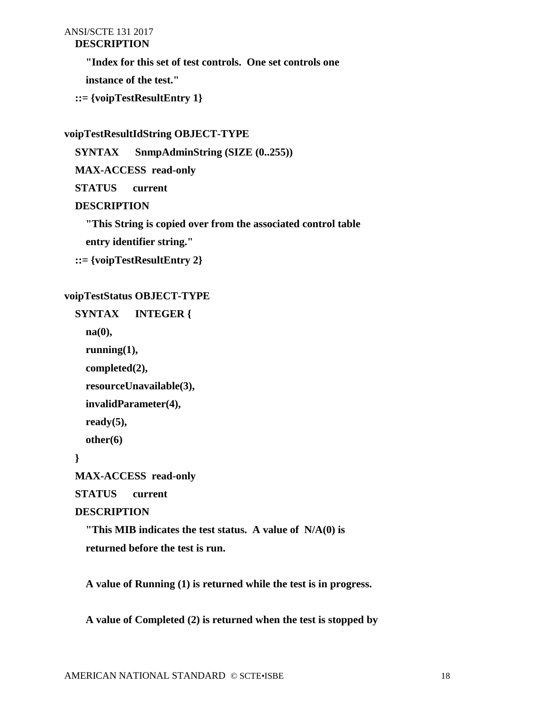# **DESCRIPTION**

 **"Index for this set of test controls. One set controls one** 

 **instance of the test."**

```
 ::= {voipTestResultEntry 1}
```
## **voipTestResultIdString OBJECT-TYPE**

 **SYNTAX SnmpAdminString (SIZE (0..255))**

 **MAX-ACCESS read-only**

 **STATUS current**

# **DESCRIPTION**

 **"This String is copied over from the associated control table** 

 **entry identifier string."**

 **::= {voipTestResultEntry 2}**

# **voipTestStatus OBJECT-TYPE**

```
 SYNTAX INTEGER {
   na(0),
   running(1),
   completed(2),
   resourceUnavailable(3),
   invalidParameter(4), 
   ready(5),
   other(6)
 }
 MAX-ACCESS read-only
 STATUS current
 DESCRIPTION
   "This MIB indicates the test status. A value of N/A(0) is 
   returned before the test is run.
```
 **A value of Running (1) is returned while the test is in progress.**

 **A value of Completed (2) is returned when the test is stopped by**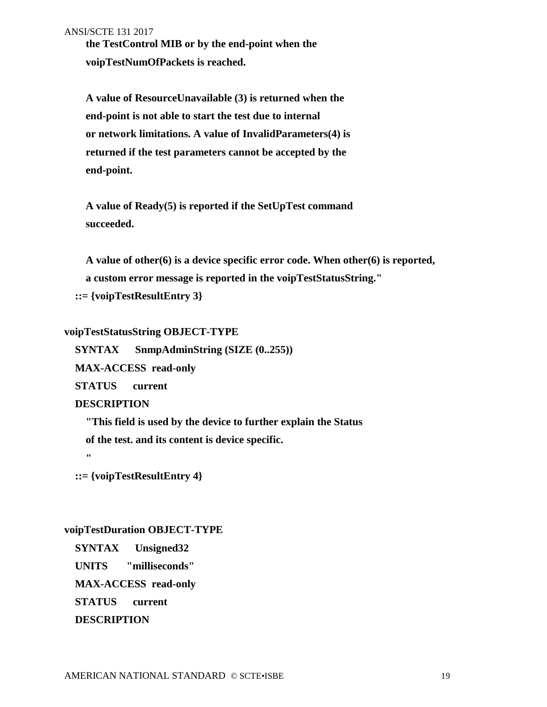**the TestControl MIB or by the end-point when the voipTestNumOfPackets is reached.** 

 **A value of ResourceUnavailable (3) is returned when the end-point is not able to start the test due to internal or network limitations. A value of InvalidParameters(4) is returned if the test parameters cannot be accepted by the end-point.** 

 **A value of Ready(5) is reported if the SetUpTest command succeeded.**

 **A value of other(6) is a device specific error code. When other(6) is reported, a custom error message is reported in the voipTestStatusString."**

 **::= {voipTestResultEntry 3}**

### **voipTestStatusString OBJECT-TYPE**

 **SYNTAX SnmpAdminString (SIZE (0..255))**

 **MAX-ACCESS read-only**

 **STATUS current**

#### **DESCRIPTION**

 **"This field is used by the device to further explain the Status**

 **of the test. and its content is device specific.**

 $\mathbf{r}$ 

 **::= {voipTestResultEntry 4}**

### **voipTestDuration OBJECT-TYPE**

 **SYNTAX Unsigned32**

 **UNITS "milliseconds"**

 **MAX-ACCESS read-only**

 **STATUS current**

 **DESCRIPTION**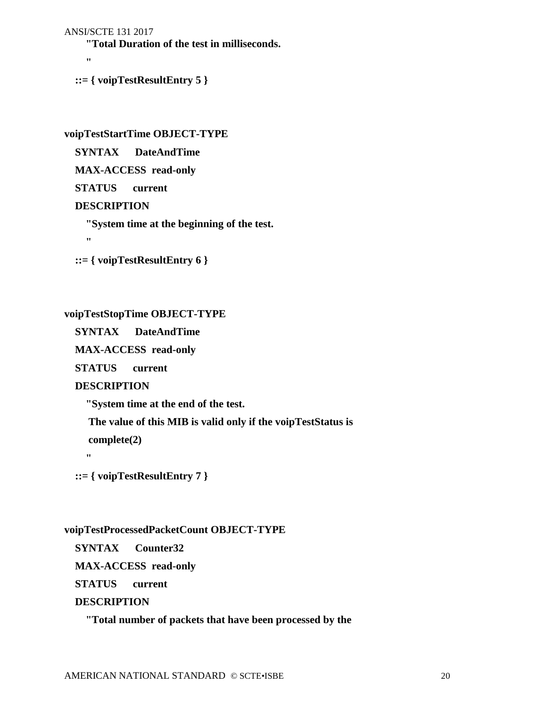```
ANSI/SCTE 131 2017
```
 **"Total Duration of the test in milliseconds.**

 **"**

 **::= { voipTestResultEntry 5 }**

**voipTestStartTime OBJECT-TYPE**

 **SYNTAX DateAndTime**

 **MAX-ACCESS read-only**

 **STATUS current**

# **DESCRIPTION**

 **"System time at the beginning of the test.**

 **"**

 **::= { voipTestResultEntry 6 }**

# **voipTestStopTime OBJECT-TYPE**

 **SYNTAX DateAndTime**

 **MAX-ACCESS read-only**

 **STATUS current**

# **DESCRIPTION**

 **"System time at the end of the test.** 

 **The value of this MIB is valid only if the voipTestStatus is** 

 **complete(2)**

 **"**

 **::= { voipTestResultEntry 7 }**

# **voipTestProcessedPacketCount OBJECT-TYPE**

 **SYNTAX Counter32**

 **MAX-ACCESS read-only**

 **STATUS current**

# **DESCRIPTION**

 **"Total number of packets that have been processed by the**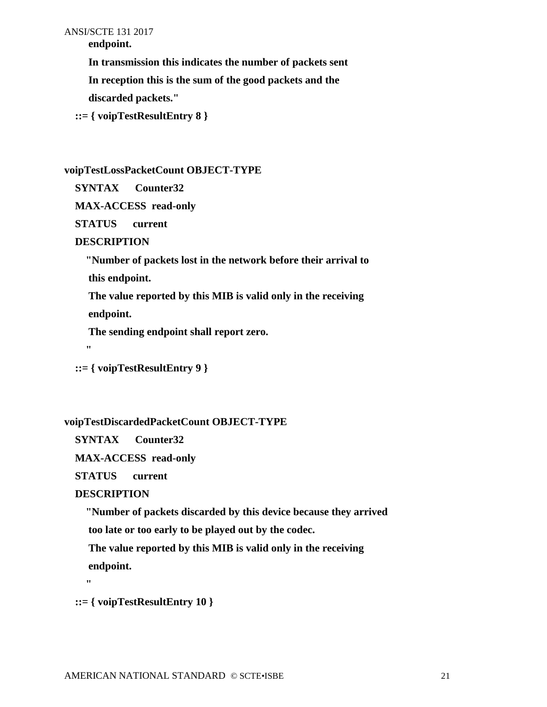**endpoint.**

 **In transmission this indicates the number of packets sent**

 **In reception this is the sum of the good packets and the**

 **discarded packets."**

 **::= { voipTestResultEntry 8 }**

# **voipTestLossPacketCount OBJECT-TYPE**

 **SYNTAX Counter32**

 **MAX-ACCESS read-only**

 **STATUS current**

# **DESCRIPTION**

 **"Number of packets lost in the network before their arrival to this endpoint.**

 **The value reported by this MIB is valid only in the receiving endpoint.**

 **The sending endpoint shall report zero.**

 **"**

 **::= { voipTestResultEntry 9 }**

# **voipTestDiscardedPacketCount OBJECT-TYPE**

 **SYNTAX Counter32**

 **MAX-ACCESS read-only**

 **STATUS current**

# **DESCRIPTION**

 **"Number of packets discarded by this device because they arrived**

 **too late or too early to be played out by the codec.**

 **The value reported by this MIB is valid only in the receiving**

 **endpoint.**

 $\mathbf{u}$ 

 **::= { voipTestResultEntry 10 }**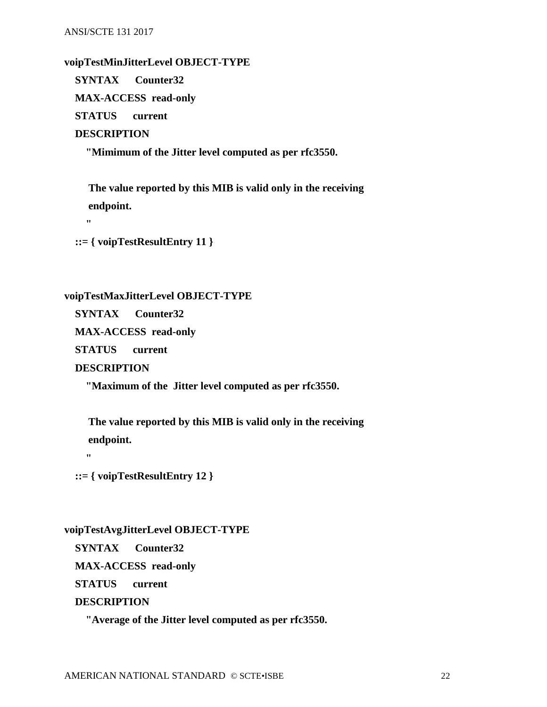#### **voipTestMinJitterLevel OBJECT-TYPE**

 **SYNTAX Counter32 MAX-ACCESS read-only**

 **STATUS current**

#### **DESCRIPTION**

 **"Mimimum of the Jitter level computed as per rfc3550.**

 **The value reported by this MIB is valid only in the receiving endpoint.**

 **"**

 **::= { voipTestResultEntry 11 }**

#### **voipTestMaxJitterLevel OBJECT-TYPE**

 **SYNTAX Counter32**

 **MAX-ACCESS read-only**

 **STATUS current**

 **DESCRIPTION**

 **"Maximum of the Jitter level computed as per rfc3550.**

 **The value reported by this MIB is valid only in the receiving endpoint.**

 **"**

 **::= { voipTestResultEntry 12 }**

#### **voipTestAvgJitterLevel OBJECT-TYPE**

 **SYNTAX Counter32**

 **MAX-ACCESS read-only**

 **STATUS current**

 **DESCRIPTION**

 **"Average of the Jitter level computed as per rfc3550.**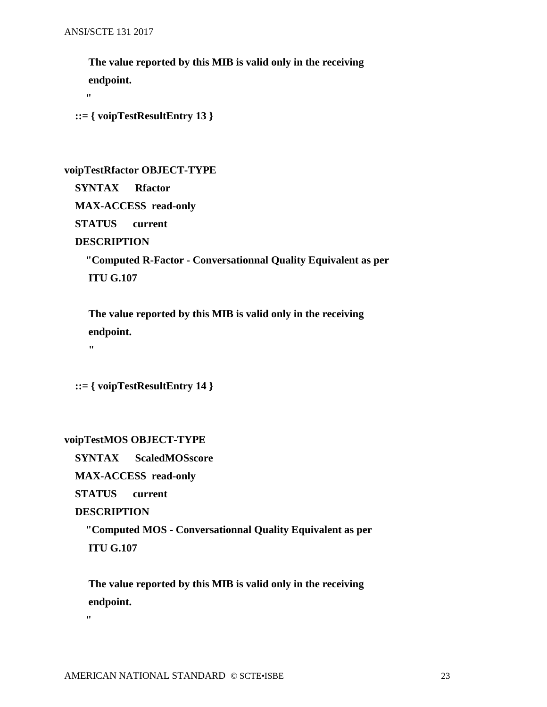**The value reported by this MIB is valid only in the receiving endpoint. "**

 **::= { voipTestResultEntry 13 }**

#### **voipTestRfactor OBJECT-TYPE**

 **SYNTAX Rfactor**

 **MAX-ACCESS read-only**

 **STATUS current**

#### **DESCRIPTION**

 $\mathbf{H}$ 

 **"Computed R-Factor - Conversationnal Quality Equivalent as per ITU G.107**

 **The value reported by this MIB is valid only in the receiving endpoint.**

 **::= { voipTestResultEntry 14 }**

#### **voipTestMOS OBJECT-TYPE**

 **SYNTAX ScaledMOSscore**

 **MAX-ACCESS read-only**

 **STATUS current**

#### **DESCRIPTION**

 **"Computed MOS - Conversationnal Quality Equivalent as per ITU G.107**

 **The value reported by this MIB is valid only in the receiving endpoint.**

 **"**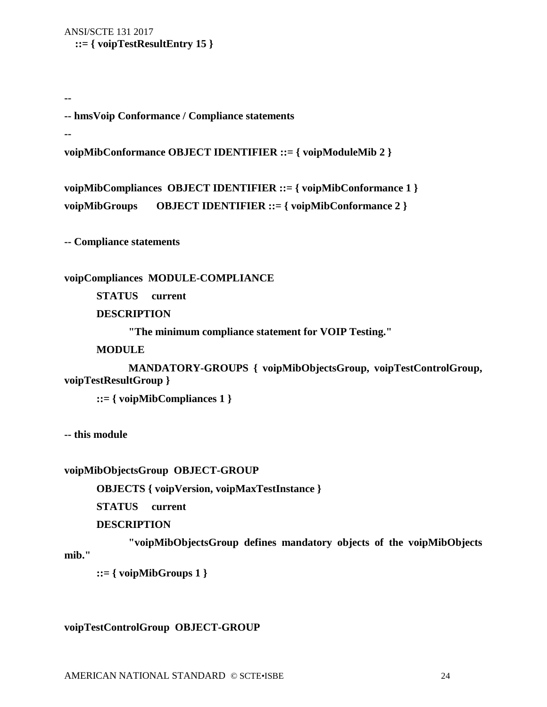ANSI/SCTE 131 2017  **::= { voipTestResultEntry 15 }**

**-- hmsVoip Conformance / Compliance statements**

**--**

**--** 

**voipMibConformance OBJECT IDENTIFIER ::= { voipModuleMib 2 }**

```
voipMibCompliances OBJECT IDENTIFIER ::= { voipMibConformance 1 }
voipMibGroups OBJECT IDENTIFIER ::= { voipMibConformance 2 }
```
**-- Compliance statements**

**voipCompliances MODULE-COMPLIANCE**

**STATUS current**

**DESCRIPTION** 

**"The minimum compliance statement for VOIP Testing."**

**MODULE**

**MANDATORY-GROUPS { voipMibObjectsGroup, voipTestControlGroup, voipTestResultGroup }** 

**::= { voipMibCompliances 1 }**

**-- this module**

**voipMibObjectsGroup OBJECT-GROUP**

**OBJECTS { voipVersion, voipMaxTestInstance }**

**STATUS current**

#### **DESCRIPTION**

**"voipMibObjectsGroup defines mandatory objects of the voipMibObjects mib."**

**::= { voipMibGroups 1 }**

**voipTestControlGroup OBJECT-GROUP**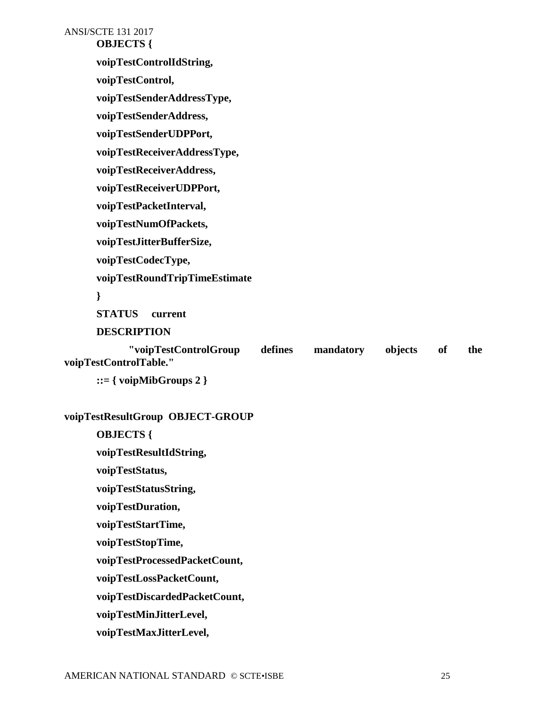ANSI/SCTE 131 2017 **OBJECTS { voipTestControlIdString, voipTestControl, voipTestSenderAddressType, voipTestSenderAddress, voipTestSenderUDPPort, voipTestReceiverAddressType, voipTestReceiverAddress, voipTestReceiverUDPPort, voipTestPacketInterval, voipTestNumOfPackets, voipTestJitterBufferSize, voipTestCodecType, voipTestRoundTripTimeEstimate } STATUS current DESCRIPTION "voipTestControlGroup defines mandatory objects of the** 

**voipTestControlTable."**

**::= { voipMibGroups 2 }**

### **voipTestResultGroup OBJECT-GROUP**

**OBJECTS {**

 **voipTestResultIdString,**

 **voipTestStatus,**

 **voipTestStatusString,**

 **voipTestDuration,**

 **voipTestStartTime,**

 **voipTestStopTime,**

 **voipTestProcessedPacketCount,**

 **voipTestLossPacketCount,**

 **voipTestDiscardedPacketCount,** 

 **voipTestMinJitterLevel,**

 **voipTestMaxJitterLevel,**